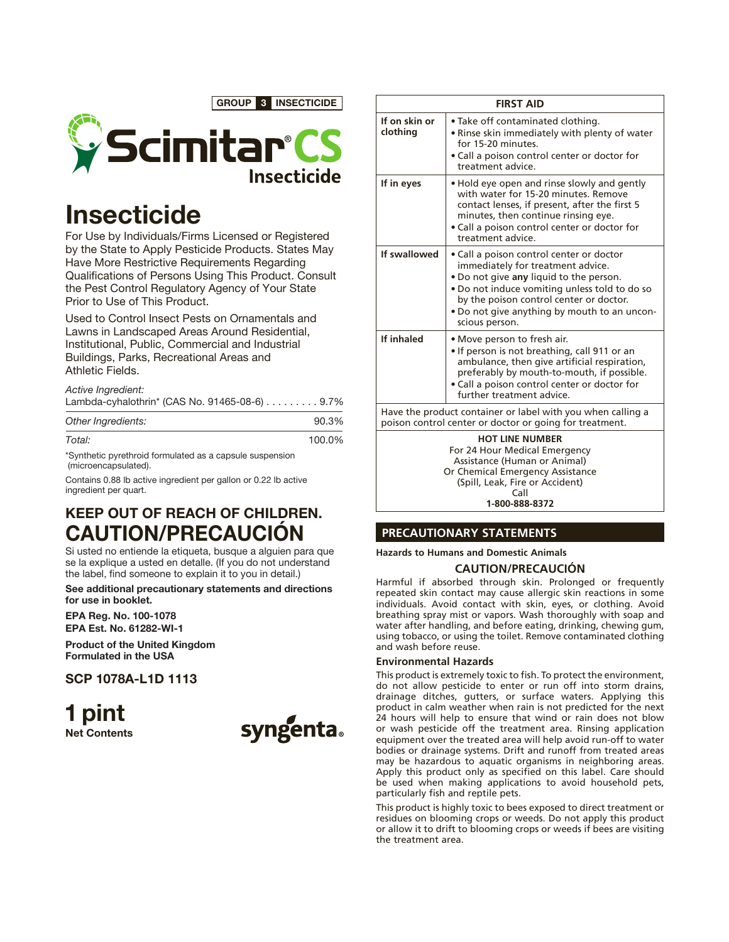GROUP 3 INSECTICIDE



# **Insecticide**

For Use by Individuals/Firms Licensed or Registered by the State to Apply Pesticide Products. States May Have More Restrictive Requirements Regarding Qualifications of Persons Using This Product. Consult the Pest Control Regulatory Agency of Your State Prior to Use of This Product.

Used to Control Insect Pests on Ornamentals and Lawns in Landscaped Areas Around Residential, Institutional, Public, Commercial and Industrial Buildings, Parks, Recreational Areas and Athletic Fields.

*Active Ingredient:*

| Lambda-cyhalothrin* (CAS No. 91465-08-6) 9.7% |  |
|-----------------------------------------------|--|
|                                               |  |

| Other Ingredients: | 90.3%  |
|--------------------|--------|
| Total:             | 100.0% |

\*Synthetic pyrethroid formulated as a capsule suspension (microencapsulated).

Contains 0.88 lb active ingredient per gallon or 0.22 lb active ingredient per quart.

# KEEP OUT OF REACH OF CHILDREN. CAUTION/PRECAUCIÓN

Si usted no entiende la etiqueta, busque a alguien para que se la explique a usted en detalle. (If you do not understand the label, find someone to explain it to you in detail.)

See additional precautionary statements and directions for use in booklet.

EPA Reg. No. 100-1078 EPA Est. No. 61282-WI-1

Product of the United Kingdom Formulated in the USA

SCP 1078A-L1D 1113

1 pint Net Contents



| <b>FIRST AID</b>                                                                                                                                                                         |                                                                                                                                                                                                                                                                                        |  |  |
|------------------------------------------------------------------------------------------------------------------------------------------------------------------------------------------|----------------------------------------------------------------------------------------------------------------------------------------------------------------------------------------------------------------------------------------------------------------------------------------|--|--|
| If on skin or<br>clothina                                                                                                                                                                | • Take off contaminated clothing.<br>• Rinse skin immediately with plenty of water<br>for 15-20 minutes.<br>· Call a poison control center or doctor for<br>treatment advice.                                                                                                          |  |  |
| If in eyes                                                                                                                                                                               | . Hold eye open and rinse slowly and gently<br>with water for 15-20 minutes. Remove<br>contact lenses, if present, after the first 5<br>minutes, then continue rinsing eye.<br>• Call a poison control center or doctor for<br>treatment advice.                                       |  |  |
| If swallowed                                                                                                                                                                             | · Call a poison control center or doctor<br>immediately for treatment advice.<br>. Do not give any liquid to the person.<br>. Do not induce vomiting unless told to do so<br>by the poison control center or doctor.<br>. Do not give anything by mouth to an uncon-<br>scious person. |  |  |
| If inhaled                                                                                                                                                                               | • Move person to fresh air.<br>. If person is not breathing, call 911 or an<br>ambulance, then give artificial respiration,<br>preferably by mouth-to-mouth, if possible.<br>• Call a poison control center or doctor for<br>further treatment advice.                                 |  |  |
| Have the product container or label with you when calling a<br>poison control center or doctor or going for treatment.                                                                   |                                                                                                                                                                                                                                                                                        |  |  |
| <b>HOT LINE NUMBER</b><br>For 24 Hour Medical Emergency<br>Assistance (Human or Animal)<br>Or Chemical Emergency Assistance<br>(Spill, Leak, Fire or Accident)<br>Call<br>1-800-888-8372 |                                                                                                                                                                                                                                                                                        |  |  |

# **PRECAUTIONARY STATEMENTS**

**Hazards to Humans and Domestic Animals**

## **CAUTION/PRECAUCIÓN**

Harmful if absorbed through skin. Prolonged or frequently repeated skin contact may cause allergic skin reactions in some individuals. Avoid contact with skin, eyes, or clothing. Avoid breathing spray mist or vapors. Wash thoroughly with soap and water after handling, and before eating, drinking, chewing gum, using tobacco, or using the toilet. Remove contaminated clothing and wash before reuse.

#### **Environmental Hazards**

This product is extremely toxic to fish. To protect the environment, do not allow pesticide to enter or run off into storm drains, drainage ditches, gutters, or surface waters. Applying this product in calm weather when rain is not predicted for the next 24 hours will help to ensure that wind or rain does not blow or wash pesticide off the treatment area. Rinsing application equipment over the treated area will help avoid run-off to water bodies or drainage systems. Drift and runoff from treated areas may be hazardous to aquatic organisms in neighboring areas. Apply this product only as specified on this label. Care should be used when making applications to avoid household pets, particularly fish and reptile pets.

This product is highly toxic to bees exposed to direct treatment or residues on blooming crops or weeds. Do not apply this product or allow it to drift to blooming crops or weeds if bees are visiting the treatment area.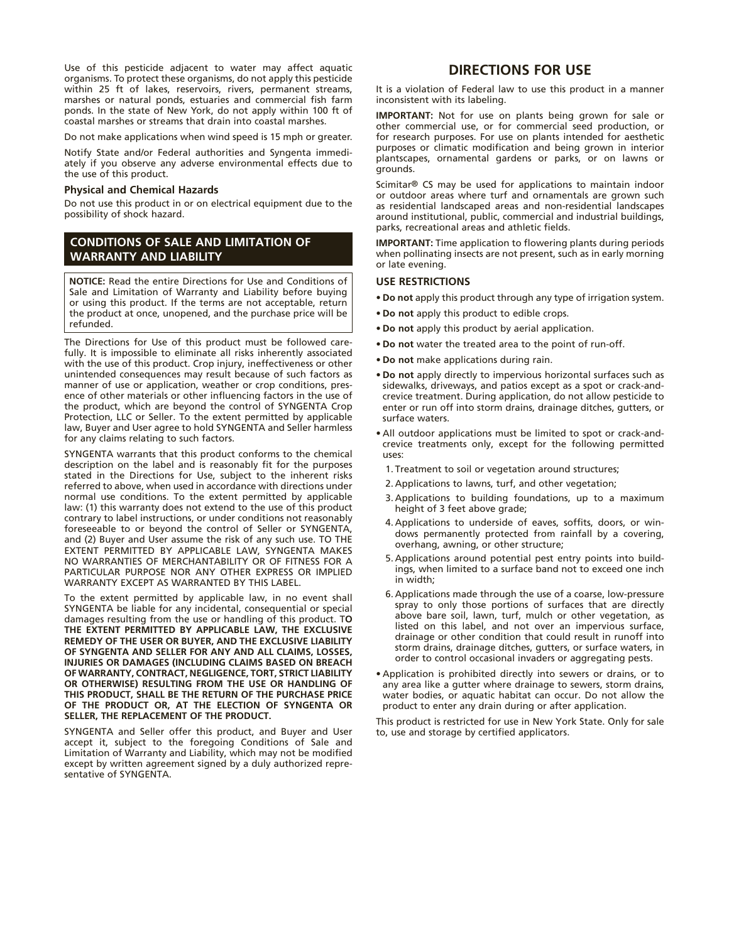Use of this pesticide adjacent to water may affect aquatic organisms. To protect these organisms, do not apply this pesticide within 25 ft of lakes, reservoirs, rivers, permanent streams, marshes or natural ponds, estuaries and commercial fish farm ponds. In the state of New York, do not apply within 100 ft of coastal marshes or streams that drain into coastal marshes.

Do not make applications when wind speed is 15 mph or greater.

Notify State and/or Federal authorities and Syngenta immediately if you observe any adverse environmental effects due to the use of this product.

#### **Physical and Chemical Hazards**

Do not use this product in or on electrical equipment due to the possibility of shock hazard.

### **CONDITIONS OF SALE AND LIMITATION OF WARRANTY AND LIABILITY**

**NOTICE:** Read the entire Directions for Use and Conditions of Sale and Limitation of Warranty and Liability before buying or using this product. If the terms are not acceptable, return the product at once, unopened, and the purchase price will be refunded.

The Directions for Use of this product must be followed carefully. It is impossible to eliminate all risks inherently associated with the use of this product. Crop injury, ineffectiveness or other unintended consequences may result because of such factors as manner of use or application, weather or crop conditions, presence of other materials or other influencing factors in the use of the product, which are beyond the control of SYNGENTA Crop Protection, LLC or Seller. To the extent permitted by applicable law, Buyer and User agree to hold SYNGENTA and Seller harmless for any claims relating to such factors.

SYNGENTA warrants that this product conforms to the chemical description on the label and is reasonably fit for the purposes stated in the Directions for Use, subject to the inherent risks referred to above, when used in accordance with directions under normal use conditions. To the extent permitted by applicable law: (1) this warranty does not extend to the use of this product contrary to label instructions, or under conditions not reasonably foreseeable to or beyond the control of Seller or SYNGENTA, and (2) Buyer and User assume the risk of any such use. TO THE EXTENT PERMITTED BY APPLICABLE LAW, SYNGENTA MAKES NO WARRANTIES OF MERCHANTABILITY OR OF FITNESS FOR A PARTICULAR PURPOSE NOR ANY OTHER EXPRESS OR IMPLIED WARRANTY EXCEPT AS WARRANTED BY THIS LABEL.

To the extent permitted by applicable law, in no event shall SYNGENTA be liable for any incidental, consequential or special damages resulting from the use or handling of this product. T**O THE EXTENT PERMITTED BY APPLICABLE LAW, THE EXCLUSIVE REMEDY OF THE USER OR BUYER, AND THE EXCLUSIVE LIABILITY OF SYNGENTA AND SELLER FOR ANY AND ALL CLAIMS, LOSSES, INJURIES OR DAMAGES (INCLUDING CLAIMS BASED ON BREACH OF WARRANTY, CONTRACT, NEGLIGENCE, TORT, STRICT LIABILITY OR OTHERWISE) RESULTING FROM THE USE OR HANDLING OF THIS PRODUCT, SHALL BE THE RETURN OF THE PURCHASE PRICE OF THE PRODUCT OR, AT THE ELECTION OF SYNGENTA OR SELLER, THE REPLACEMENT OF THE PRODUCT.**

SYNGENTA and Seller offer this product, and Buyer and User accept it, subject to the foregoing Conditions of Sale and Limitation of Warranty and Liability, which may not be modified except by written agreement signed by a duly authorized representative of SYNGENTA.

# **DIRECTIONS FOR USE**

It is a violation of Federal law to use this product in a manner inconsistent with its labeling.

**IMPORTANT:** Not for use on plants being grown for sale or other commercial use, or for commercial seed production, or for research purposes. For use on plants intended for aesthetic purposes or climatic modification and being grown in interior plantscapes, ornamental gardens or parks, or on lawns or grounds.

Scimitar® CS may be used for applications to maintain indoor or outdoor areas where turf and ornamentals are grown such as residential landscaped areas and non-residential landscapes around institutional, public, commercial and industrial buildings, parks, recreational areas and athletic fields.

**IMPORTANT:** Time application to flowering plants during periods when pollinating insects are not present, such as in early morning or late evening.

#### **USE RESTRICTIONS**

- **• Do not** apply this product through any type of irrigation system.
- **• Do not** apply this product to edible crops.
- **• Do not** apply this product by aerial application.
- **• Do not** water the treated area to the point of run-off.
- **• Do not** make applications during rain.
- • **Do not** apply directly to impervious horizontal surfaces such as sidewalks, driveways, and patios except as a spot or crack-andcrevice treatment. During application, do not allow pesticide to enter or run off into storm drains, drainage ditches, gutters, or surface waters.
- All outdoor applications must be limited to spot or crack-andcrevice treatments only, except for the following permitted uses:
	- 1. Treatment to soil or vegetation around structures;
	- 2. Applications to lawns, turf, and other vegetation;
	- 3. Applications to building foundations, up to a maximum height of 3 feet above grade;
	- 4. Applications to underside of eaves, soffits, doors, or windows permanently protected from rainfall by a covering, overhang, awning, or other structure;
	- 5. Applications around potential pest entry points into buildings, when limited to a surface band not to exceed one inch in width;
	- 6. Applications made through the use of a coarse, low-pressure spray to only those portions of surfaces that are directly above bare soil, lawn, turf, mulch or other vegetation, as listed on this label, and not over an impervious surface, drainage or other condition that could result in runoff into storm drains, drainage ditches, gutters, or surface waters, in order to control occasional invaders or aggregating pests.
- • Application is prohibited directly into sewers or drains, or to any area like a gutter where drainage to sewers, storm drains, water bodies, or aquatic habitat can occur. Do not allow the product to enter any drain during or after application.

This product is restricted for use in New York State. Only for sale to, use and storage by certified applicators.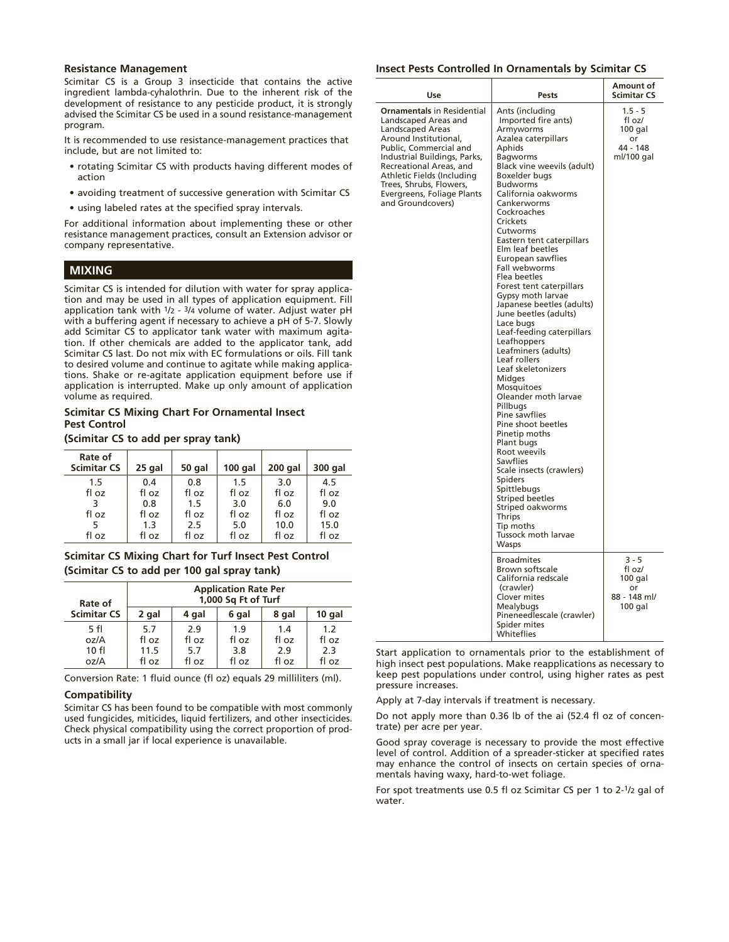#### **Resistance Management**

Scimitar CS is a Group 3 insecticide that contains the active ingredient lambda-cyhalothrin. Due to the inherent risk of the development of resistance to any pesticide product, it is strongly advised the Scimitar CS be used in a sound resistance-management program.

It is recommended to use resistance-management practices that include, but are not limited to:

- rotating Scimitar CS with products having different modes of action
- avoiding treatment of successive generation with Scimitar CS
- using labeled rates at the specified spray intervals.

For additional information about implementing these or other resistance management practices, consult an Extension advisor or company representative.

#### **MIXING**

Scimitar CS is intended for dilution with water for spray application and may be used in all types of application equipment. Fill application tank with  $1/2 - 3/4$  volume of water. Adjust water pH with a buffering agent if necessary to achieve a pH of 5-7. Slowly add Scimitar CS to applicator tank water with maximum agitation. If other chemicals are added to the applicator tank, add Scimitar CS last. Do not mix with EC formulations or oils. Fill tank to desired volume and continue to agitate while making applications. Shake or re-agitate application equipment before use if application is interrupted. Make up only amount of application volume as required.

#### **Scimitar CS Mixing Chart For Ornamental Insect Pest Control**

**(Scimitar CS to add per spray tank)**

| Rate of<br><b>Scimitar CS</b> | 25 gal | 50 gal | $100$ gal | 200 gal | 300 gal |
|-------------------------------|--------|--------|-----------|---------|---------|
| 1.5                           | 0.4    | 0.8    | 1.5       | 3.0     | 4.5     |
| fl oz                         | fl oz  | fl oz  | fl oz     | fl oz   | fl oz   |
|                               | 0.8    | 1.5    | 3.0       | 6.0     | 9.0     |
| fl oz                         | fl oz  | fl oz  | fl oz     | fl oz   | fl oz   |
|                               | 1.3    | 2.5    | 5.0       | 10.0    | 15.0    |
| fl oz                         | fl oz  | fl oz  | fl oz     | fl oz   | fl oz   |

#### **Scimitar CS Mixing Chart for Turf Insect Pest Control (Scimitar CS to add per 100 gal spray tank)**

| Rate of            | <b>Application Rate Per</b><br>1,000 Sq Ft of Turf |       |       |       |        |
|--------------------|----------------------------------------------------|-------|-------|-------|--------|
| <b>Scimitar CS</b> | 2 gal                                              | 4 gal | 6 gal | 8 gal | 10 gal |
| 5 fl               | 5.7                                                | 2.9   | 1.9   | 1.4   | 1.2    |
| oz/A               | fl oz                                              | fl oz | fl oz | fl oz | fl oz  |
| 10f                | 11.5                                               | 5.7   | 3.8   | 2.9   | 2.3    |
| oz/A               | fl oz                                              | fl oz | fl oz | fl oz | fl oz  |

Conversion Rate: 1 fluid ounce (fl oz) equals 29 milliliters (ml).

#### **Compatibility**

Scimitar CS has been found to be compatible with most commonly used fungicides, miticides, liquid fertilizers, and other insecticides. Check physical compatibility using the correct proportion of products in a small jar if local experience is unavailable.

#### **Insect Pests Controlled In Ornamentals by Scimitar CS**

| Use                                                                                                                                                                                                                                                                                                     | Pests                                                                                                                                                                                                                                                                                                                                                                                                                                                                                                                                                                                                                                                                                                                                                                                                                                                                                                                             | Amount of<br><b>Scimitar CS</b>                                |
|---------------------------------------------------------------------------------------------------------------------------------------------------------------------------------------------------------------------------------------------------------------------------------------------------------|-----------------------------------------------------------------------------------------------------------------------------------------------------------------------------------------------------------------------------------------------------------------------------------------------------------------------------------------------------------------------------------------------------------------------------------------------------------------------------------------------------------------------------------------------------------------------------------------------------------------------------------------------------------------------------------------------------------------------------------------------------------------------------------------------------------------------------------------------------------------------------------------------------------------------------------|----------------------------------------------------------------|
| <b>Ornamentals in Residential</b><br>Landscaped Areas and<br>Landscaped Areas<br>Around Institutional,<br>Public, Commercial and<br>Industrial Buildings, Parks,<br>Recreational Areas, and<br>Athletic Fields (Including<br>Trees, Shrubs, Flowers,<br>Evergreens, Foliage Plants<br>and Groundcovers) | Ants (including<br>Imported fire ants)<br>Armyworms<br>Azalea caterpillars<br>Aphids<br><b>Bagworms</b><br>Black vine weevils (adult)<br>Boxelder bugs<br><b>Budworms</b><br>California oakworms<br>Cankerworms<br>Cockroaches<br>Crickets<br>Cutworms<br>Eastern tent caterpillars<br>Elm leaf beetles<br>European sawflies<br>Fall webworms<br>Flea beetles<br>Forest tent caterpillars<br>Gypsy moth larvae<br>Japanese beetles (adults)<br>June beetles (adults)<br>Lace bugs<br>Leaf-feeding caterpillars<br>Leafhoppers<br>Leafminers (adults)<br>Leaf rollers<br>Leaf skeletonizers<br>Midges<br>Mosquitoes<br>Oleander moth larvae<br>Pillbugs<br>Pine sawflies<br>Pine shoot beetles<br>Pinetip moths<br>Plant bugs<br>Root weevils<br><b>Sawflies</b><br>Scale insects (crawlers)<br><b>Spiders</b><br>Spittlebugs<br><b>Striped beetles</b><br>Striped oakworms<br>Thrips<br>Tip moths<br>Tussock moth larvae<br>Wasps | $1.5 - 5$<br>fl oz/<br>100 gal<br>or<br>44 - 148<br>ml/100 gal |
|                                                                                                                                                                                                                                                                                                         | <b>Broadmites</b><br><b>Brown softscale</b><br>California redscale<br>(crawler)<br>Clover mites<br>Mealybugs<br>Pineneedlescale (crawler)<br>Spider mites<br>Whiteflies                                                                                                                                                                                                                                                                                                                                                                                                                                                                                                                                                                                                                                                                                                                                                           | $3 - 5$<br>fl oz/<br>100 gal<br>or<br>88 - 148 ml/<br>100 gal  |

Start application to ornamentals prior to the establishment of high insect pest populations. Make reapplications as necessary to keep pest populations under control, using higher rates as pest pressure increases.

Apply at 7-day intervals if treatment is necessary.

Do not apply more than 0.36 lb of the ai (52.4 fl oz of concentrate) per acre per year.

Good spray coverage is necessary to provide the most effective level of control. Addition of a spreader-sticker at specified rates may enhance the control of insects on certain species of ornamentals having waxy, hard-to-wet foliage.

For spot treatments use 0.5 fl oz Scimitar CS per 1 to 2-1/2 gal of water.